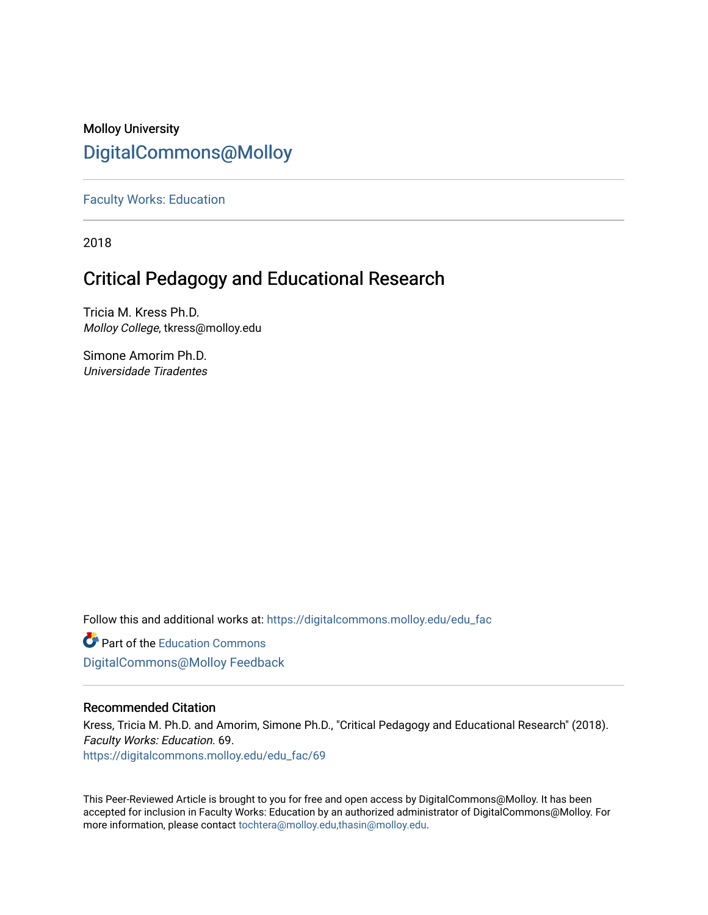### Molloy University [DigitalCommons@Molloy](https://digitalcommons.molloy.edu/)

[Faculty Works: Education](https://digitalcommons.molloy.edu/edu_fac) 

2018

# Critical Pedagogy and Educational Research

Tricia M. Kress Ph.D. Molloy College, tkress@molloy.edu

Simone Amorim Ph.D. Universidade Tiradentes

Follow this and additional works at: [https://digitalcommons.molloy.edu/edu\\_fac](https://digitalcommons.molloy.edu/edu_fac?utm_source=digitalcommons.molloy.edu%2Fedu_fac%2F69&utm_medium=PDF&utm_campaign=PDFCoverPages)

**Part of the [Education Commons](https://network.bepress.com/hgg/discipline/784?utm_source=digitalcommons.molloy.edu%2Fedu_fac%2F69&utm_medium=PDF&utm_campaign=PDFCoverPages)** [DigitalCommons@Molloy Feedback](https://molloy.libwizard.com/f/dcfeedback)

### Recommended Citation

Kress, Tricia M. Ph.D. and Amorim, Simone Ph.D., "Critical Pedagogy and Educational Research" (2018). Faculty Works: Education. 69. [https://digitalcommons.molloy.edu/edu\\_fac/69](https://digitalcommons.molloy.edu/edu_fac/69?utm_source=digitalcommons.molloy.edu%2Fedu_fac%2F69&utm_medium=PDF&utm_campaign=PDFCoverPages) 

This Peer-Reviewed Article is brought to you for free and open access by DigitalCommons@Molloy. It has been accepted for inclusion in Faculty Works: Education by an authorized administrator of DigitalCommons@Molloy. For more information, please contact [tochtera@molloy.edu,thasin@molloy.edu.](mailto:tochtera@molloy.edu,thasin@molloy.edu)